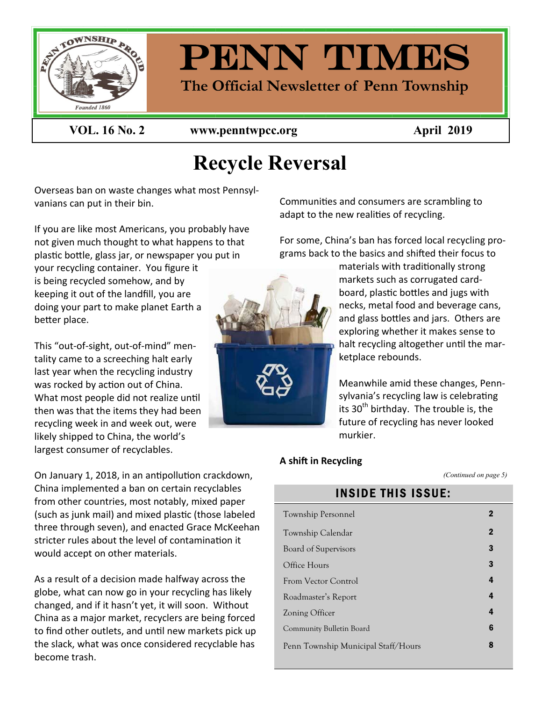

VOL. 16 No. 2 www.penntwpcc.org April 2019

# **Recycle Reversal**

Overseas ban on waste changes what most Pennsylvanians can put in their bin.

If you are like most Americans, you probably have not given much thought to what happens to that plastic bottle, glass jar, or newspaper you put in your recycling container. You figure it is being recycled somehow, and by keeping it out of the landfill, you are doing your part to make planet Earth a better place.

This "out-of-sight, out-of-mind" mentality came to a screeching halt early last year when the recycling industry was rocked by action out of China. What most people did not realize until then was that the items they had been recycling week in and week out, were likely shipped to China, the world's largest consumer of recyclables.

On January 1, 2018, in an antipollution crackdown, China implemented a ban on certain recyclables from other countries, most notably, mixed paper (such as junk mail) and mixed plastic (those labeled three through seven), and enacted Grace McKeehan stricter rules about the level of contamination it would accept on other materials.

As a result of a decision made halfway across the globe, what can now go in your recycling has likely changed, and if it hasn't yet, it will soon. Without China as a major market, recyclers are being forced to find other outlets, and until new markets pick up the slack, what was once considered recyclable has become trash.



Communities and consumers are scrambling to adapt to the new realities of recycling.

For some, China's ban has forced local recycling programs back to the basics and shifted their focus to

> materials with traditionally strong markets such as corrugated cardboard, plastic bottles and jugs with necks, metal food and beverage cans, and glass bottles and jars. Others are exploring whether it makes sense to halt recycling altogether until the marketplace rebounds.

> Meanwhile amid these changes, Pennsylvania's recycling law is celebrating its  $30<sup>th</sup>$  birthday. The trouble is, the future of recycling has never looked murkier.

### **A shift in Recycling**

*(Continued on page 5)*

### **INSIDE THIS ISSUE:**

| Township Personnel                  | 2           |
|-------------------------------------|-------------|
| Township Calendar                   | $\mathbf 2$ |
| Board of Supervisors                | 3           |
| Office Hours                        | 3           |
| From Vector Control                 | 4           |
| Roadmaster's Report                 | 4           |
| Zoning Officer                      | 4           |
| Community Bulletin Board            | 6           |
| Penn Township Municipal Staff/Hours | 8           |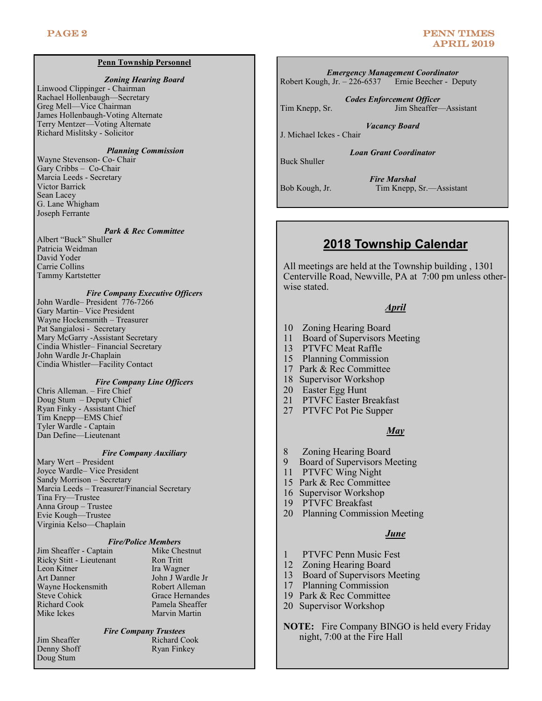#### **Penn Township Personnel**

#### *Zoning Hearing Board*

Linwood Clippinger - Chairman Rachael Hollenbaugh—Secretary Greg Mell—Vice Chairman James Hollenbaugh-Voting Alternate Terry Mentzer—Voting Alternate Richard Mislitsky - Solicitor

#### *Planning Commission*

Wayne Stevenson- Co- Chair Gary Cribbs – Co-Chair Marcia Leeds - Secretary Victor Barrick Sean Lacey G. Lane Whigham Joseph Ferrante

#### *Park & Rec Committee*

Albert "Buck" Shuller Patricia Weidman David Yoder Carrie Collins Tammy Kartstetter

#### *Fire Company Executive Officers*

John Wardle– President 776-7266 Gary Martin– Vice President Wayne Hockensmith – Treasurer Pat Sangialosi - Secretary Mary McGarry -Assistant Secretary Cindia Whistler– Financial Secretary John Wardle Jr-Chaplain Cindia Whistler—Facility Contact

#### *Fire Company Line Officers*

Chris Alleman. – Fire Chief Doug Stum – Deputy Chief Ryan Finky - Assistant Chief Tim Knepp—EMS Chief Tyler Wardle - Captain Dan Define—Lieutenant

#### *Fire Company Auxiliary*

Mary Wert – President Joyce Wardle– Vice President Sandy Morrison – Secretary Marcia Leeds – Treasurer/Financial Secretary Tina Fry—Trustee Anna Group – Trustee Evie Kough—Trustee Virginia Kelso—Chaplain

#### *Fire/Police Members*

Jim Sheaffer - Captain Mike Chestnut Ricky Stitt - Lieutenant Ron Tritt<br>Leon Kitner Ira Wagner Leon Kitner Art Danner John J Wardle Jr Wayne Hockensmith Robert Alleman Steve Cohick Grace Hernandes Richard Cook **Pamela Sheaffer**<br>Mike Ickes **Mark** Marvin Martin

Marvin Martin

Denny Shoff Ryan Finkey Doug Stum

*Fire Company Trustees* Jim Sheaffer Richard Cook

*Emergency Management Coordinator* Robert Kough, Jr. – 226-6537

*Codes Enforcement Officer* Tim Knepp, Sr. Jim Sheaffer—Assistant

*Loan Grant Coordinator*

*Vacancy Board* J. Michael Ickes - Chair

Buck Shuller

*Fire Marshal* Bob Kough, Jr. Tim Knepp, Sr.—Assistant

### **2018 Township Calendar**

All meetings are held at the Township building , 1301 Centerville Road, Newville, PA at 7:00 pm unless otherwise stated.

#### *April*

- 10 Zoning Hearing Board
- 11 Board of Supervisors Meeting
- 13 PTVFC Meat Raffle
- 15 Planning Commission
- 17 Park & Rec Committee
- 18 Supervisor Workshop
- 20 Easter Egg Hunt
- 21 PTVFC Easter Breakfast
- 27 PTVFC Pot Pie Supper

#### *May*

- 8 Zoning Hearing Board
- 9 Board of Supervisors Meeting
- 11 PTVFC Wing Night
- 15 Park & Rec Committee
- 16 Supervisor Workshop
- 19 PTVFC Breakfast
- 20 Planning Commission Meeting

#### *June*

- 1 PTVFC Penn Music Fest
- 12 Zoning Hearing Board
- 13 Board of Supervisors Meeting
- 17 Planning Commission
- 19 Park & Rec Committee
- 20 Supervisor Workshop

**NOTE:** Fire Company BINGO is held every Friday night, 7:00 at the Fire Hall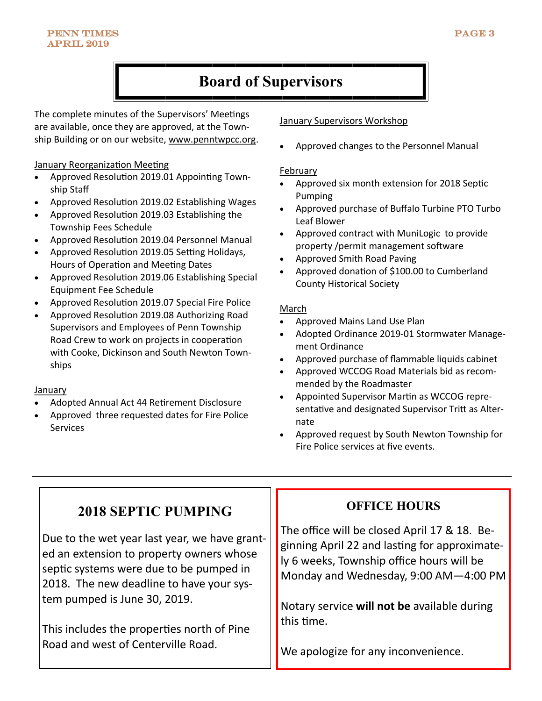## **Board of Supervisors**

The complete minutes of the Supervisors' Meetings are available, once they are approved, at the Township Building or on our website, www.penntwpcc.org.

#### **January Reorganization Meeting**

- Approved Resolution 2019.01 Appointing Township Staff
- Approved Resolution 2019.02 Establishing Wages
- Approved Resolution 2019.03 Establishing the Township Fees Schedule
- Approved Resolution 2019.04 Personnel Manual
- Approved Resolution 2019.05 Setting Holidays, Hours of Operation and Meeting Dates
- Approved Resolution 2019.06 Establishing Special Equipment Fee Schedule
- Approved Resolution 2019.07 Special Fire Police
- Approved Resolution 2019.08 Authorizing Road Supervisors and Employees of Penn Township Road Crew to work on projects in cooperation with Cooke, Dickinson and South Newton Townships

#### January

- Adopted Annual Act 44 Retirement Disclosure
- Approved three requested dates for Fire Police Services

#### January Supervisors Workshop

• Approved changes to the Personnel Manual

#### February

- Approved six month extension for 2018 Septic Pumping
- Approved purchase of Buffalo Turbine PTO Turbo Leaf Blower
- Approved contract with MuniLogic to provide property /permit management software
- Approved Smith Road Paving
- Approved donation of \$100.00 to Cumberland County Historical Society

### March

- Approved Mains Land Use Plan
- Adopted Ordinance 2019-01 Stormwater Management Ordinance
- Approved purchase of flammable liquids cabinet
- Approved WCCOG Road Materials bid as recommended by the Roadmaster
- Appointed Supervisor Martin as WCCOG representative and designated Supervisor Tritt as Alternate
- Approved request by South Newton Township for Fire Police services at five events.

### **2018 SEPTIC PUMPING**

Due to the wet year last year, we have granted an extension to property owners whose septic systems were due to be pumped in 2018. The new deadline to have your system pumped is June 30, 2019.

This includes the properties north of Pine Road and west of Centerville Road.

### **OFFICE HOURS**

The office will be closed April 17 & 18. Beginning April 22 and lasting for approximately 6 weeks, Township office hours will be Monday and Wednesday, 9:00 AM—4:00 PM

Notary service **will not be** available during this time.

We apologize for any inconvenience.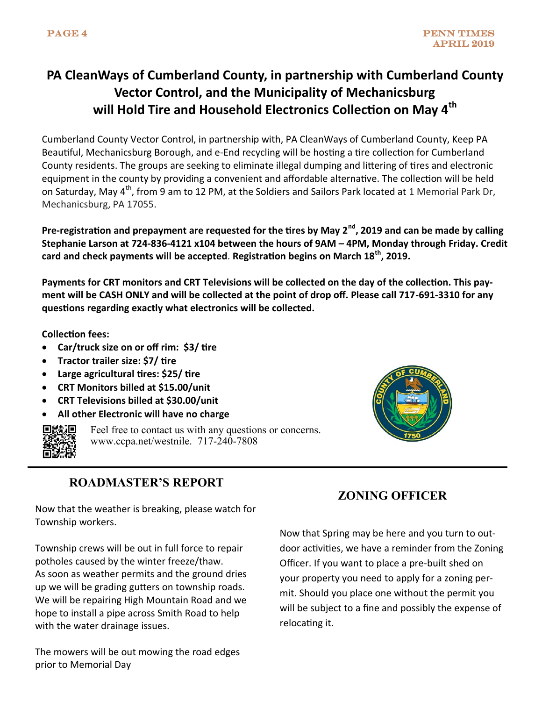## **PA CleanWays of Cumberland County, in partnership with Cumberland County Vector Control, and the Municipality of Mechanicsburg will Hold Tire and Household Electronics Collection on May 4th**

Cumberland County Vector Control, in partnership with, PA CleanWays of Cumberland County, Keep PA Beautiful, Mechanicsburg Borough, and e-End recycling will be hosting a tire collection for Cumberland County residents. The groups are seeking to eliminate illegal dumping and littering of tires and electronic equipment in the county by providing a convenient and affordable alternative. The collection will be held on Saturday, May 4<sup>th</sup>, from 9 am to 12 PM, at the Soldiers and Sailors Park located at 1 Memorial Park Dr, Mechanicsburg, PA 17055.

**Pre-registration and prepayment are requested for the tires by May 2nd, 2019 and can be made by calling Stephanie Larson at 724-836-4121 x104 between the hours of 9AM – 4PM, Monday through Friday. Credit card and check payments will be accepted**. **Registration begins on March 18th, 2019.** 

**Payments for CRT monitors and CRT Televisions will be collected on the day of the collection. This payment will be CASH ONLY and will be collected at the point of drop off. Please call 717-691-3310 for any questions regarding exactly what electronics will be collected.** 

**Collection fees:** 

- **Car/truck size on or off rim: \$3/ tire**
- **Tractor trailer size: \$7/ tire**
- **Large agricultural tires: \$25/ tire**
- **CRT Monitors billed at \$15.00/unit**
- **CRT Televisions billed at \$30.00/unit**
- **All other Electronic will have no charge**



Feel free to contact us with any questions or concerns. www.ccpa.net/westnile. 717-240-7808



### **ROADMASTER'S REPORT**

Now that the weather is breaking, please watch for Township workers.

Township crews will be out in full force to repair potholes caused by the winter freeze/thaw. As soon as weather permits and the ground dries up we will be grading gutters on township roads. We will be repairing High Mountain Road and we hope to install a pipe across Smith Road to help with the water drainage issues.

The mowers will be out mowing the road edges prior to Memorial Day

### **ZONING OFFICER**

Now that Spring may be here and you turn to outdoor activities, we have a reminder from the Zoning Officer. If you want to place a pre-built shed on your property you need to apply for a zoning permit. Should you place one without the permit you will be subject to a fine and possibly the expense of relocating it.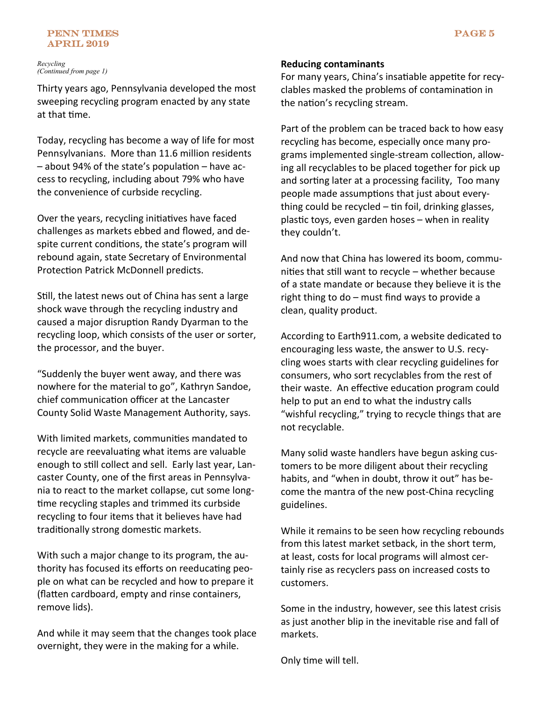#### PAGE 5

#### PENN TIMES April 2019

#### *Recycling (Continued from page 1)*

Thirty years ago, Pennsylvania developed the most sweeping recycling program enacted by any state at that time.

Today, recycling has become a way of life for most Pennsylvanians. More than 11.6 million residents – about 94% of the state's population – have access to recycling, including about 79% who have the convenience of curbside recycling.

Over the years, recycling initiatives have faced challenges as markets ebbed and flowed, and despite current conditions, the state's program will rebound again, state Secretary of Environmental Protection Patrick McDonnell predicts.

Still, the latest news out of China has sent a large shock wave through the recycling industry and caused a major disruption Randy Dyarman to the recycling loop, which consists of the user or sorter, the processor, and the buyer.

"Suddenly the buyer went away, and there was nowhere for the material to go", Kathryn Sandoe, chief communication officer at the Lancaster County Solid Waste Management Authority, says.

With limited markets, communities mandated to recycle are reevaluating what items are valuable enough to still collect and sell. Early last year, Lancaster County, one of the first areas in Pennsylvania to react to the market collapse, cut some longtime recycling staples and trimmed its curbside recycling to four items that it believes have had traditionally strong domestic markets.

With such a major change to its program, the authority has focused its efforts on reeducating people on what can be recycled and how to prepare it (flatten cardboard, empty and rinse containers, remove lids).

And while it may seem that the changes took place overnight, they were in the making for a while.

### **Reducing contaminants**

For many years, China's insatiable appetite for recyclables masked the problems of contamination in the nation's recycling stream.

Part of the problem can be traced back to how easy recycling has become, especially once many programs implemented single-stream collection, allowing all recyclables to be placed together for pick up and sorting later at a processing facility, Too many people made assumptions that just about everything could be recycled – tin foil, drinking glasses, plastic toys, even garden hoses – when in reality they couldn't.

And now that China has lowered its boom, communities that still want to recycle – whether because of a state mandate or because they believe it is the right thing to do – must find ways to provide a clean, quality product.

According to Earth911.com, a website dedicated to encouraging less waste, the answer to U.S. recycling woes starts with clear recycling guidelines for consumers, who sort recyclables from the rest of their waste. An effective education program could help to put an end to what the industry calls "wishful recycling," trying to recycle things that are not recyclable.

Many solid waste handlers have begun asking customers to be more diligent about their recycling habits, and "when in doubt, throw it out" has become the mantra of the new post-China recycling guidelines.

While it remains to be seen how recycling rebounds from this latest market setback, in the short term, at least, costs for local programs will almost certainly rise as recyclers pass on increased costs to customers.

Some in the industry, however, see this latest crisis as just another blip in the inevitable rise and fall of markets.

Only time will tell.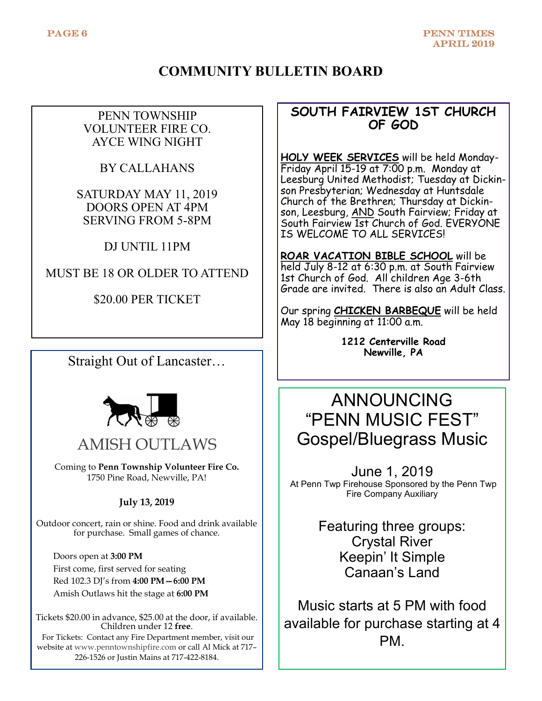### **COMMUNITY BULLETIN BOARD**

### PENN TOWNSHIP VOLUNTEER FIRE CO. AYCE WING NIGHT

BY CALLAHANS

SATURDAY MAY 11, 2019 DOORS OPEN AT 4PM SERVING FROM 5-8PM

DJ UNTIL 11PM

MUST BE 18 OR OLDER TO ATTEND

\$20.00 PER TICKET

Straight Out of Lancaster…



AMISH OUTLAWS

Coming to **Penn Township Volunteer Fire Co.** 1750 Pine Road, Newville, PA!

### **July 13, 2019**

Outdoor concert, rain or shine. Food and drink available for purchase. Small games of chance.

Doors open at **3:00 PM** First come, first served for seating Red 102.3 DJ's from **4:00 PM—6:00 PM** Amish Outlaws hit the stage at **6:00 PM**

Tickets \$20.00 in advance, \$25.00 at the door, if available. Children under 12 **free**. For Tickets: Contact any Fire Department member, visit our website at [www.penntownshipfire.com](http://www.penntownshipfire.com) or call Al Mick at 717– 226-1526 or Justin Mains at 717-422-8184.

### **SOUTH FAIRVIEW 1ST CHURCH OF GOD**

**HOLY WEEK SERVICES** will be held Monday-Friday April 15-19 at 7:00 p.m. Monday at Leesburg United Methodist; Tuesday at Dickinson Presbyterian; Wednesday at Huntsdale Church of the Brethren; Thursday at Dickinson, Leesburg, AND South Fairview; Friday at South Fairview 1st Church of God. EVERYONE IS WELCOME TO ALL SERVICES!

**ROAR VACATION BIBLE SCHOOL** will be held July 8-12 at 6:30 p.m. at South Fairview 1st Church of God. All children Age 3-6th Grade are invited. There is also an Adult Class.

Our spring **CHICKEN BARBEQUE** will be held May 18 beginning at 11:00 a.m.

> **1212 Centerville Road Newville, PA**

## ANNOUNCING "PENN MUSIC FEST" Gospel/Bluegrass Music

June 1, 2019 At Penn Twp Firehouse Sponsored by the Penn Twp Fire Company Auxiliary

> Featuring three groups: Crystal River Keepin' It Simple Canaan's Land

Music starts at 5 PM with food available for purchase starting at 4 PM.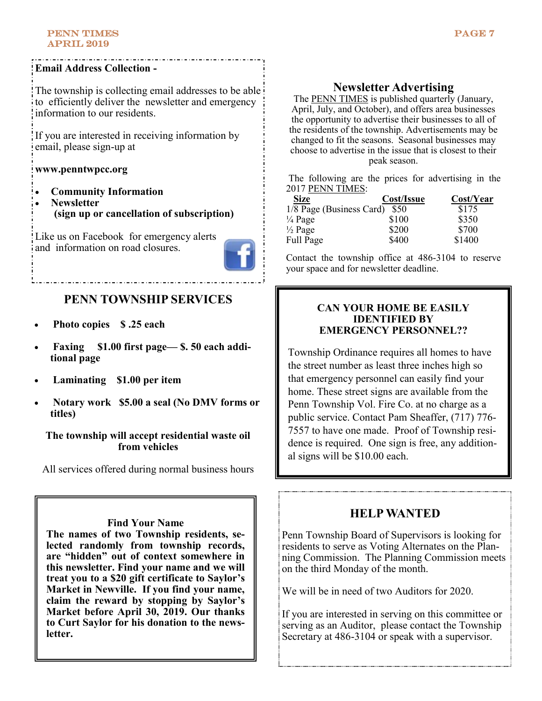#### **PENN TIMES** April 2019

### **Email Address Collection -**

The township is collecting email addresses to be able to efficiently deliver the newsletter and emergency information to our residents.

If you are interested in receiving information by email, please sign-up at

#### **www.penntwpcc.org**

- **Community Information**
- **Newsletter (sign up or cancellation of subscription)**

Like us on Facebook for emergency alerts and information on road closures.



### **PENN TOWNSHIP SERVICES**

- **Photo copies \$ .25 each**
- **Faxing \$1.00 first page— \$. 50 each additional page**
- **Laminating \$1.00 per item**
- **Notary work \$5.00 a seal (No DMV forms or titles)**

**The township will accept residential waste oil from vehicles** 

All services offered during normal business hours

#### **Find Your Name**

**The names of two Township residents, selected randomly from township records, are "hidden" out of context somewhere in this newsletter. Find your name and we will treat you to a \$20 gift certificate to Saylor's Market in Newville. If you find your name, claim the reward by stopping by Saylor's Market before April 30, 2019. Our thanks to Curt Saylor for his donation to the newsletter.**

### **Newsletter Advertising**

The PENN TIMES is published quarterly (January, April, July, and October), and offers area businesses the opportunity to advertise their businesses to all of the residents of the township. Advertisements may be changed to fit the seasons. Seasonal businesses may choose to advertise in the issue that is closest to their peak season.

The following are the prices for advertising in the 2017 PENN TIMES:

| <b>Size</b>              | Cost/Issue | Cost/Year |
|--------------------------|------------|-----------|
| 1/8 Page (Business Card) | - \$50     | \$175     |
| $\frac{1}{4}$ Page       | \$100      | \$350     |
| $\frac{1}{2}$ Page       | \$200      | \$700     |
| Full Page                | \$400      | \$1400    |

Contact the township office at 486-3104 to reserve your space and for newsletter deadline.

#### **CAN YOUR HOME BE EASILY IDENTIFIED BY EMERGENCY PERSONNEL??**

Township Ordinance requires all homes to have the street number as least three inches high so that emergency personnel can easily find your home. These street signs are available from the Penn Township Vol. Fire Co. at no charge as a public service. Contact Pam Sheaffer, (717) 776- 7557 to have one made. Proof of Township residence is required. One sign is free, any additional signs will be \$10.00 each.

### **HELP WANTED**

Penn Township Board of Supervisors is looking for residents to serve as Voting Alternates on the Planning Commission. The Planning Commission meets on the third Monday of the month.

We will be in need of two Auditors for 2020.

If you are interested in serving on this committee or serving as an Auditor, please contact the Township Secretary at 486-3104 or speak with a supervisor.